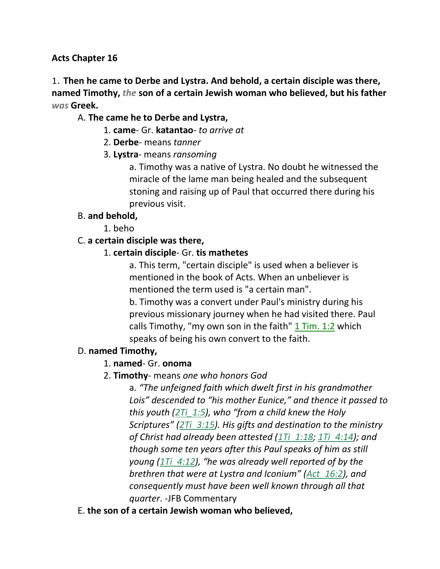#### **Acts Chapter 16**

1. **Then he came to Derbe and Lystra. And behold, a certain disciple was there, named Timothy,** *the* **son of a certain Jewish woman who believed, but his father**  *was* **Greek.**

#### A. **The came he to Derbe and Lystra,**

- 1. **came** Gr. **katantao** *to arrive at*
- 2. **Derbe** means *tanner*
- 3. **Lystra** means *ransoming*

a. Timothy was a native of Lystra. No doubt he witnessed the miracle of the lame man being healed and the subsequent stoning and raising up of Paul that occurred there during his previous visit.

#### B. **and behold,**

1. beho

#### C. **a certain disciple was there,**

#### 1. **certain disciple**- Gr. **tis mathetes**

a. This term, "certain disciple" is used when a believer is mentioned in the book of Acts. When an unbeliever is mentioned the term used is "a certain man".

b. Timothy was a convert under Paul's ministry during his previous missionary journey when he had visited there. Paul calls Timothy, "my own son in the faith"  $1$  Tim. 1:2 which speaks of being his own convert to the faith.

#### D. **named Timothy,**

#### 1. **named**- Gr. **onoma**

## 2. **Timothy**- means *one who honors God*

a. *"The unfeigned faith which dwelt first in his grandmother Lois" descended to "his mother Eunice," and thence it passed to this youth (2Ti\_1:5), who "from a child knew the Holy Scriptures" (2Ti\_3:15). His gifts and destination to the ministry of Christ had already been attested (1Ti\_1:18; 1Ti\_4:14); and though some ten years after this Paul speaks of him as still young (1Ti\_4:12), "he was already well reported of by the brethren that were at Lystra and Iconium" (Act\_16:2), and consequently must have been well known through all that quarter*. -JFB Commentary

E. **the son of a certain Jewish woman who believed,**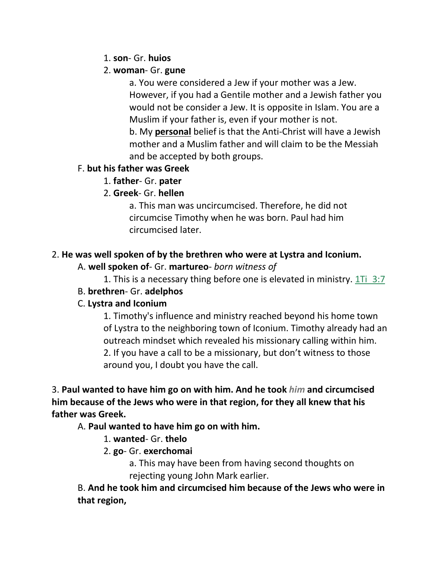#### 1. **son**- Gr. **huios**

#### 2. **woman**- Gr. **gune**

a. You were considered a Jew if your mother was a Jew. However, if you had a Gentile mother and a Jewish father you would not be consider a Jew. It is opposite in Islam. You are a Muslim if your father is, even if your mother is not.

b. My **personal** belief is that the Anti-Christ will have a Jewish mother and a Muslim father and will claim to be the Messiah and be accepted by both groups.

## F. **but his father was Greek**

1. **father**- Gr. **pater**

# 2. **Greek**- Gr. **hellen**

a. This man was uncircumcised. Therefore, he did not circumcise Timothy when he was born. Paul had him circumcised later.

# 2. **He was well spoken of by the brethren who were at Lystra and Iconium.**

## A. **well spoken of**- Gr. **martureo**- *born witness of*

1. This is a necessary thing before one is elevated in ministry. 1Ti 3:7

## B. **brethren**- Gr. **adelphos**

# C. **Lystra and Iconium**

1. Timothy's influence and ministry reached beyond his home town of Lystra to the neighboring town of Iconium. Timothy already had an outreach mindset which revealed his missionary calling within him. 2. If you have a call to be a missionary, but don't witness to those around you, I doubt you have the call.

3. **Paul wanted to have him go on with him. And he took** *him* **and circumcised him because of the Jews who were in that region, for they all knew that his father was Greek.**

## A. **Paul wanted to have him go on with him.**

# 1. **wanted**- Gr. **thelo**

# 2. **go**- Gr. **exerchomai**

a. This may have been from having second thoughts on rejecting young John Mark earlier.

B. **And he took him and circumcised him because of the Jews who were in that region,**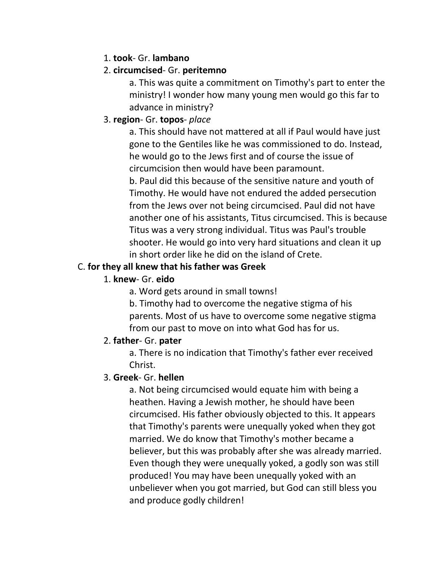#### 1. **took**- Gr. **lambano**

#### 2. **circumcised**- Gr. **peritemno**

a. This was quite a commitment on Timothy's part to enter the ministry! I wonder how many young men would go this far to advance in ministry?

## 3. **region**- Gr. **topos**- *place*

a. This should have not mattered at all if Paul would have just gone to the Gentiles like he was commissioned to do. Instead, he would go to the Jews first and of course the issue of circumcision then would have been paramount.

b. Paul did this because of the sensitive nature and youth of Timothy. He would have not endured the added persecution from the Jews over not being circumcised. Paul did not have another one of his assistants, Titus circumcised. This is because Titus was a very strong individual. Titus was Paul's trouble shooter. He would go into very hard situations and clean it up in short order like he did on the island of Crete.

## C. **for they all knew that his father was Greek**

#### 1. **knew**- Gr. **eido**

a. Word gets around in small towns!

b. Timothy had to overcome the negative stigma of his parents. Most of us have to overcome some negative stigma from our past to move on into what God has for us.

## 2. **father**- Gr. **pater**

a. There is no indication that Timothy's father ever received Christ.

## 3. **Greek**- Gr. **hellen**

a. Not being circumcised would equate him with being a heathen. Having a Jewish mother, he should have been circumcised. His father obviously objected to this. It appears that Timothy's parents were unequally yoked when they got married. We do know that Timothy's mother became a believer, but this was probably after she was already married. Even though they were unequally yoked, a godly son was still produced! You may have been unequally yoked with an unbeliever when you got married, but God can still bless you and produce godly children!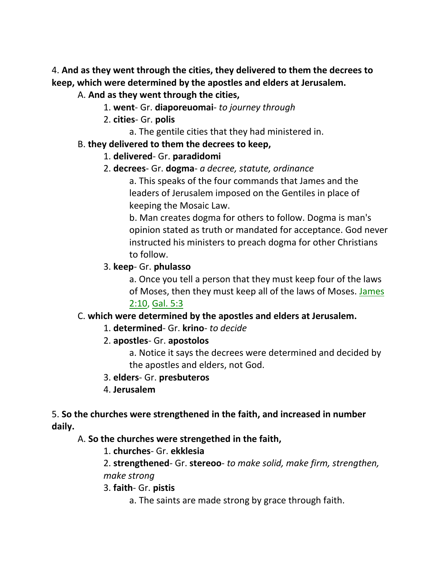4. **And as they went through the cities, they delivered to them the decrees to keep, which were determined by the apostles and elders at Jerusalem.**

#### A. **And as they went through the cities,**

- 1. **went** Gr. **diaporeuomai** *to journey through*
- 2. **cities** Gr. **polis**
	- a. The gentile cities that they had ministered in.

#### B. **they delivered to them the decrees to keep,**

- 1. **delivered** Gr. **paradidomi**
- 2. **decrees** Gr. **dogma** *a decree, statute, ordinance*

a. This speaks of the four commands that James and the leaders of Jerusalem imposed on the Gentiles in place of keeping the Mosaic Law.

b. Man creates dogma for others to follow. Dogma is man's opinion stated as truth or mandated for acceptance. God never instructed his ministers to preach dogma for other Christians to follow.

#### 3. **keep**- Gr. **phulasso**

a. Once you tell a person that they must keep four of the laws of Moses, then they must keep all of the laws of Moses. James 2:10, Gal. 5:3

## C. **which were determined by the apostles and elders at Jerusalem.**

1. **determined**- Gr. **krino**- *to decide*

## 2. **apostles**- Gr. **apostolos**

a. Notice it says the decrees were determined and decided by the apostles and elders, not God.

#### 3. **elders**- Gr. **presbuteros**

4. **Jerusalem**

#### 5. **So the churches were strengthened in the faith, and increased in number daily.**

#### A. **So the churches were strengethed in the faith,**

1. **churches**- Gr. **ekklesia**

2. **strengthened**- Gr. **stereoo**- *to make solid, make firm, strengthen, make strong*

3. **faith**- Gr. **pistis**

a. The saints are made strong by grace through faith.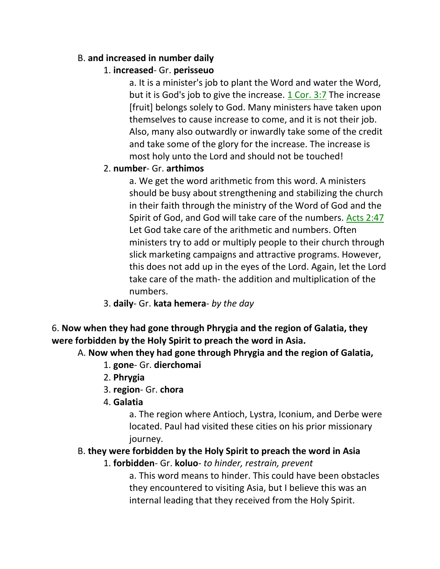## B. **and increased in number daily**

# 1. **increased**- Gr. **perisseuo**

a. It is a minister's job to plant the Word and water the Word, but it is God's job to give the increase. 1 Cor. 3:7 The increase [fruit] belongs solely to God. Many ministers have taken upon themselves to cause increase to come, and it is not their job. Also, many also outwardly or inwardly take some of the credit and take some of the glory for the increase. The increase is most holy unto the Lord and should not be touched!

# 2. **number**- Gr. **arthimos**

a. We get the word arithmetic from this word. A ministers should be busy about strengthening and stabilizing the church in their faith through the ministry of the Word of God and the Spirit of God, and God will take care of the numbers. Acts 2:47 Let God take care of the arithmetic and numbers. Often ministers try to add or multiply people to their church through slick marketing campaigns and attractive programs. However, this does not add up in the eyes of the Lord. Again, let the Lord take care of the math- the addition and multiplication of the numbers.

3. **daily**- Gr. **kata hemera**- *by the day*

6. **Now when they had gone through Phrygia and the region of Galatia, they were forbidden by the Holy Spirit to preach the word in Asia.**

## A. **Now when they had gone through Phrygia and the region of Galatia,**

- 1. **gone** Gr. **dierchomai**
- 2. **Phrygia**
- 3. **region** Gr. **chora**
- 4. **Galatia**

a. The region where Antioch, Lystra, Iconium, and Derbe were located. Paul had visited these cities on his prior missionary journey.

#### B. **they were forbidden by the Holy Spirit to preach the word in Asia**

#### 1. **forbidden**- Gr. **koluo**- *to hinder, restrain, prevent*

a. This word means to hinder. This could have been obstacles they encountered to visiting Asia, but I believe this was an internal leading that they received from the Holy Spirit.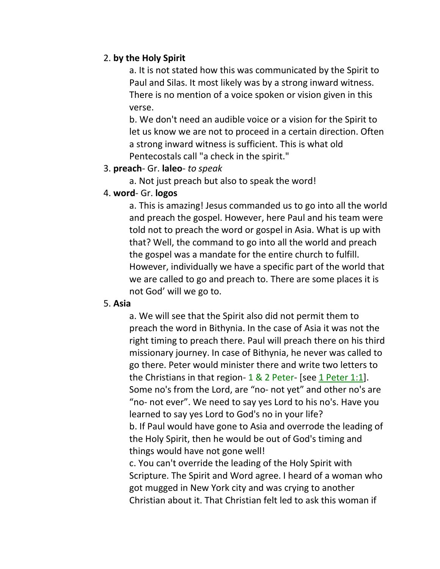#### 2. **by the Holy Spirit**

a. It is not stated how this was communicated by the Spirit to Paul and Silas. It most likely was by a strong inward witness. There is no mention of a voice spoken or vision given in this verse.

b. We don't need an audible voice or a vision for the Spirit to let us know we are not to proceed in a certain direction. Often a strong inward witness is sufficient. This is what old Pentecostals call "a check in the spirit."

#### 3. **preach**- Gr. **laleo**- *to speak*

a. Not just preach but also to speak the word!

#### 4. **word**- Gr. **logos**

a. This is amazing! Jesus commanded us to go into all the world and preach the gospel. However, here Paul and his team were told not to preach the word or gospel in Asia. What is up with that? Well, the command to go into all the world and preach the gospel was a mandate for the entire church to fulfill. However, individually we have a specific part of the world that we are called to go and preach to. There are some places it is not God' will we go to.

#### 5. **Asia**

a. We will see that the Spirit also did not permit them to preach the word in Bithynia. In the case of Asia it was not the right timing to preach there. Paul will preach there on his third missionary journey. In case of Bithynia, he never was called to go there. Peter would minister there and write two letters to the Christians in that region- 1 & 2 Peter- [see 1 Peter 1:1]. Some no's from the Lord, are "no- not yet" and other no's are "no- not ever". We need to say yes Lord to his no's. Have you learned to say yes Lord to God's no in your life? b. If Paul would have gone to Asia and overrode the leading of the Holy Spirit, then he would be out of God's timing and things would have not gone well!

c. You can't override the leading of the Holy Spirit with Scripture. The Spirit and Word agree. I heard of a woman who got mugged in New York city and was crying to another Christian about it. That Christian felt led to ask this woman if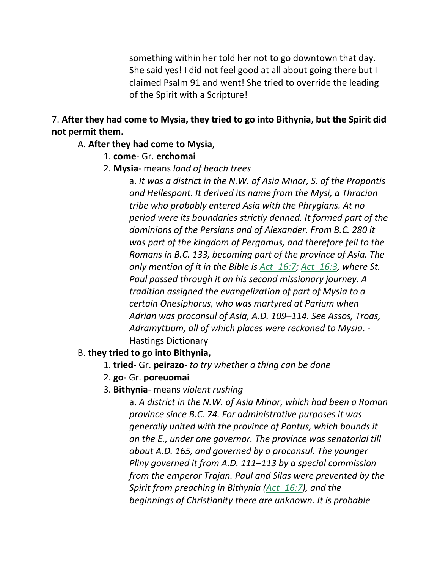something within her told her not to go downtown that day. She said yes! I did not feel good at all about going there but I claimed Psalm 91 and went! She tried to override the leading of the Spirit with a Scripture!

7. **After they had come to Mysia, they tried to go into Bithynia, but the Spirit did not permit them.**

#### A. **After they had come to Mysia,**

- 1. **come** Gr. **erchomai**
- 2. **Mysia** means *land of beach trees*

a. *It was a district in the N.W. of Asia Minor, S. of the Propontis and Hellespont. It derived its name from the Mysi, a Thracian tribe who probably entered Asia with the Phrygians. At no period were its boundaries strictly denned. It formed part of the dominions of the Persians and of Alexander. From B.C. 280 it was part of the kingdom of Pergamus, and therefore fell to the Romans in B.C. 133, becoming part of the province of Asia. The only mention of it in the Bible is Act\_16:7; Act\_16:3, where St. Paul passed through it on his second missionary journey. A tradition assigned the evangelization of part of Mysia to a certain Onesiphorus, who was martyred at Parium when Adrian was proconsul of Asia, A.D. 109–114. See Assos, Troas, Adramyttium, all of which places were reckoned to Mysia*. - Hastings Dictionary

#### B. **they tried to go into Bithynia,**

- 1. **tried** Gr. **peirazo** *to try whether a thing can be done*
- 2. **go** Gr. **poreuomai**
- 3. **Bithynia** means *violent rushing*

a. *A district in the N.W. of Asia Minor, which had been a Roman province since B.C. 74. For administrative purposes it was generally united with the province of Pontus, which bounds it on the E., under one governor. The province was senatorial till about A.D. 165, and governed by a proconsul. The younger Pliny governed it from A.D. 111–113 by a special commission from the emperor Trajan. Paul and Silas were prevented by the Spirit from preaching in Bithynia (Act\_16:7), and the beginnings of Christianity there are unknown. It is probable*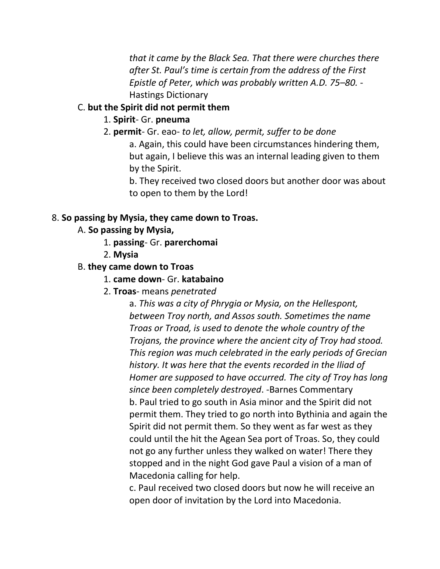*that it came by the Black Sea. That there were churches there after St. Paul's time is certain from the address of the First Epistle of Peter, which was probably written A.D. 75–80.* - Hastings Dictionary

#### C. **but the Spirit did not permit them**

#### 1. **Spirit**- Gr. **pneuma**

2. **permit**- Gr. eao- *to let, allow, permit, suffer to be done* a. Again, this could have been circumstances hindering them, but again, I believe this was an internal leading given to them by the Spirit.

b. They received two closed doors but another door was about to open to them by the Lord!

#### 8. **So passing by Mysia, they came down to Troas.**

## A. **So passing by Mysia,**

- 1. **passing** Gr. **parerchomai**
- 2. **Mysia**

#### B. **they came down to Troas**

- 1. **came down** Gr. **katabaino**
- 2. **Troas** means *penetrated*

a. *This was a city of Phrygia or Mysia, on the Hellespont, between Troy north, and Assos south. Sometimes the name Troas or Troad, is used to denote the whole country of the Trojans, the province where the ancient city of Troy had stood. This region was much celebrated in the early periods of Grecian history. It was here that the events recorded in the Iliad of Homer are supposed to have occurred. The city of Troy has long since been completely destroyed*. -Barnes Commentary b. Paul tried to go south in Asia minor and the Spirit did not permit them. They tried to go north into Bythinia and again the Spirit did not permit them. So they went as far west as they could until the hit the Agean Sea port of Troas. So, they could not go any further unless they walked on water! There they stopped and in the night God gave Paul a vision of a man of Macedonia calling for help.

c. Paul received two closed doors but now he will receive an open door of invitation by the Lord into Macedonia.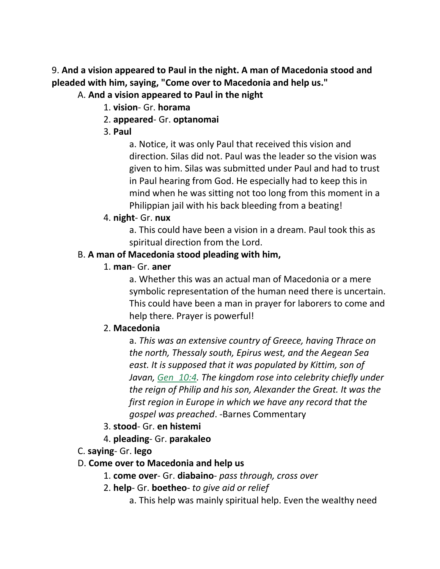9. **And a vision appeared to Paul in the night. A man of Macedonia stood and pleaded with him, saying, "Come over to Macedonia and help us."**

## A. **And a vision appeared to Paul in the night**

- 1. **vision** Gr. **horama**
- 2. **appeared** Gr. **optanomai**
- 3. **Paul**

a. Notice, it was only Paul that received this vision and direction. Silas did not. Paul was the leader so the vision was given to him. Silas was submitted under Paul and had to trust in Paul hearing from God. He especially had to keep this in mind when he was sitting not too long from this moment in a Philippian jail with his back bleeding from a beating!

4. **night**- Gr. **nux**

a. This could have been a vision in a dream. Paul took this as spiritual direction from the Lord.

#### B. **A man of Macedonia stood pleading with him,**

1. **man**- Gr. **aner**

a. Whether this was an actual man of Macedonia or a mere symbolic representation of the human need there is uncertain. This could have been a man in prayer for laborers to come and help there. Prayer is powerful!

#### 2. **Macedonia**

a. *This was an extensive country of Greece, having Thrace on the north, Thessaly south, Epirus west, and the Aegean Sea east. It is supposed that it was populated by Kittim, son of Javan, Gen\_10:4. The kingdom rose into celebrity chiefly under the reign of Philip and his son, Alexander the Great. It was the first region in Europe in which we have any record that the gospel was preached*. -Barnes Commentary

- 3. **stood** Gr. **en histemi**
- 4. **pleading** Gr. **parakaleo**
- C. **saying** Gr. **lego**
- D. **Come over to Macedonia and help us**
	- 1. **come over** Gr. **diabaino** *pass through, cross over*
	- 2. **help** Gr. **boetheo** *to give aid or relief*
		- a. This help was mainly spiritual help. Even the wealthy need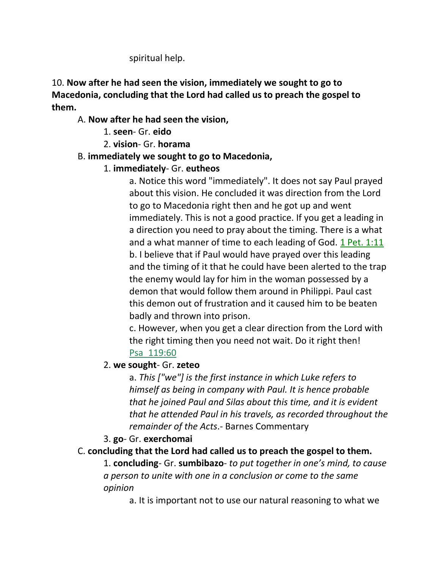spiritual help.

10. **Now after he had seen the vision, immediately we sought to go to Macedonia, concluding that the Lord had called us to preach the gospel to them.**

# A. **Now after he had seen the vision,**

- 1. **seen** Gr. **eido**
- 2. **vision** Gr. **horama**

# B. **immediately we sought to go to Macedonia,**

# 1. **immediately**- Gr. **eutheos**

a. Notice this word "immediately". It does not say Paul prayed about this vision. He concluded it was direction from the Lord to go to Macedonia right then and he got up and went immediately. This is not a good practice. If you get a leading in a direction you need to pray about the timing. There is a what and a what manner of time to each leading of God. 1 Pet. 1:11 b. I believe that if Paul would have prayed over this leading and the timing of it that he could have been alerted to the trap the enemy would lay for him in the woman possessed by a demon that would follow them around in Philippi. Paul cast this demon out of frustration and it caused him to be beaten badly and thrown into prison.

c. However, when you get a clear direction from the Lord with the right timing then you need not wait. Do it right then! Psa\_119:60

## 2. **we sought**- Gr. **zeteo**

a. *This ["we"] is the first instance in which Luke refers to himself as being in company with Paul. It is hence probable that he joined Paul and Silas about this time, and it is evident that he attended Paul in his travels, as recorded throughout the remainder of the Acts*.- Barnes Commentary

# 3. **go**- Gr. **exerchomai**

# C. **concluding that the Lord had called us to preach the gospel to them.**

1. **concluding**- Gr. **sumbibazo**- *to put together in one's mind, to cause a person to unite with one in a conclusion or come to the same opinion*

a. It is important not to use our natural reasoning to what we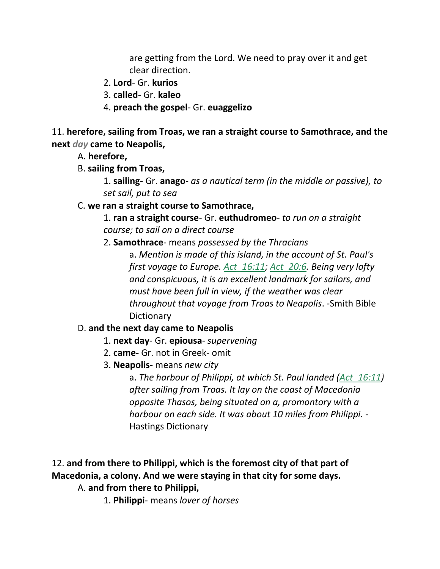are getting from the Lord. We need to pray over it and get clear direction.

- 2. **Lord** Gr. **kurios**
- 3. **called** Gr. **kaleo**
- 4. **preach the gospel** Gr. **euaggelizo**

11. **herefore, sailing from Troas, we ran a straight course to Samothrace, and the next** *day* **came to Neapolis,**

- A. **herefore,**
- B. **sailing from Troas,**

1. **sailing**- Gr. **anago**- *as a nautical term (in the middle or passive), to set sail, put to sea*

# C. **we ran a straight course to Samothrace,**

1. **ran a straight course**- Gr. **euthudromeo**- *to run on a straight course; to sail on a direct course*

2. **Samothrace**- means *possessed by the Thracians*

a. *Mention is made of this island, in the account of St. Paul's first voyage to Europe. Act\_16:11; Act\_20:6. Being very lofty and conspicuous, it is an excellent landmark for sailors, and must have been full in view, if the weather was clear throughout that voyage from Troas to Neapolis*. -Smith Bible Dictionary

## D. **and the next day came to Neapolis**

- 1. **next day** Gr. **epiousa** *supervening*
- 2. **came-** Gr. not in Greek- omit
- 3. **Neapolis** means *new city*

a. *The harbour of Philippi, at which St. Paul landed (Act\_16:11) after sailing from Troas. It lay on the coast of Macedonia opposite Thasos, being situated on a, promontory with a harbour on each side. It was about 10 miles from Philippi.* - Hastings Dictionary

# 12. **and from there to Philippi, which is the foremost city of that part of Macedonia, a colony. And we were staying in that city for some days.**

A. **and from there to Philippi,**

1. **Philippi**- means *lover of horses*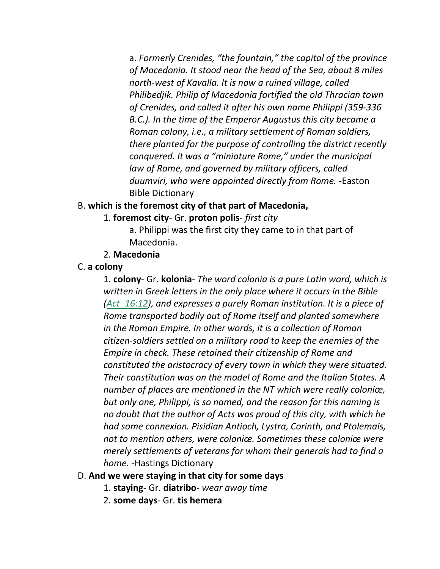a. *Formerly Crenides, "the fountain," the capital of the province of Macedonia. It stood near the head of the Sea, about 8 miles north-west of Kavalla. It is now a ruined village, called Philibedjik. Philip of Macedonia fortified the old Thracian town of Crenides, and called it after his own name Philippi (359-336 B.C.). In the time of the Emperor Augustus this city became a Roman colony, i.e., a military settlement of Roman soldiers, there planted for the purpose of controlling the district recently conquered. It was a "miniature Rome," under the municipal law of Rome, and governed by military officers, called duumviri, who were appointed directly from Rome.* -Easton Bible Dictionary

#### B. **which is the foremost city of that part of Macedonia,**

- 1. **foremost city** Gr. **proton polis** *first city*
	- a. Philippi was the first city they came to in that part of Macedonia.
- 2. **Macedonia**
- C. **a colony**

1. **colony**- Gr. **kolonia**- *The word colonia is a pure Latin word, which is written in Greek letters in the only place where it occurs in the Bible (Act\_16:12), and expresses a purely Roman institution. It is a piece of Rome transported bodily out of Rome itself and planted somewhere in the Roman Empire. In other words, it is a collection of Roman citizen-soldiers settled on a military road to keep the enemies of the Empire in check. These retained their citizenship of Rome and constituted the aristocracy of every town in which they were situated. Their constitution was on the model of Rome and the Italian States. A number of places are mentioned in the NT which were really coloniœ, but only one, Philippi, is so named, and the reason for this naming is no doubt that the author of Acts was proud of this city, with which he had some connexion. Pisidian Antioch, Lystra, Corinth, and Ptolemais, not to mention others, were coloniœ. Sometimes these coloniœ were merely settlements of veterans for whom their generals had to find a home.* -Hastings Dictionary

#### D. **And we were staying in that city for some days**

- 1. **staying** Gr. **diatribo** *wear away time*
- 2. **some days** Gr. **tis hemera**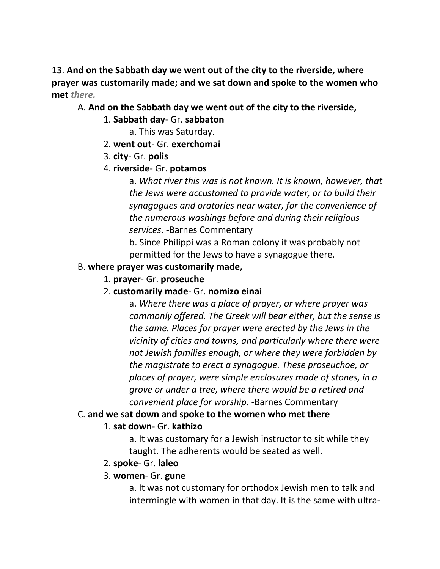13. **And on the Sabbath day we went out of the city to the riverside, where prayer was customarily made; and we sat down and spoke to the women who met** *there.*

#### A. **And on the Sabbath day we went out of the city to the riverside,**

- 1. **Sabbath day** Gr. **sabbaton**
	- a. This was Saturday.
- 2. **went out** Gr. **exerchomai**
- 3. **city** Gr. **polis**
- 4. **riverside** Gr. **potamos**

a. *What river this was is not known. It is known, however, that the Jews were accustomed to provide water, or to build their synagogues and oratories near water, for the convenience of the numerous washings before and during their religious services*. -Barnes Commentary

b. Since Philippi was a Roman colony it was probably not permitted for the Jews to have a synagogue there.

#### B. **where prayer was customarily made,**

1. **prayer**- Gr. **proseuche**

## 2. **customarily made**- Gr. **nomizo einai**

a. *Where there was a place of prayer, or where prayer was commonly offered. The Greek will bear either, but the sense is the same. Places for prayer were erected by the Jews in the vicinity of cities and towns, and particularly where there were not Jewish families enough, or where they were forbidden by the magistrate to erect a synagogue. These proseuchoe, or places of prayer, were simple enclosures made of stones, in a grove or under a tree, where there would be a retired and convenient place for worship*. -Barnes Commentary

## C. **and we sat down and spoke to the women who met there**

## 1. **sat down**- Gr. **kathizo**

a. It was customary for a Jewish instructor to sit while they taught. The adherents would be seated as well.

## 2. **spoke**- Gr. **laleo**

## 3. **women**- Gr. **gune**

a. It was not customary for orthodox Jewish men to talk and intermingle with women in that day. It is the same with ultra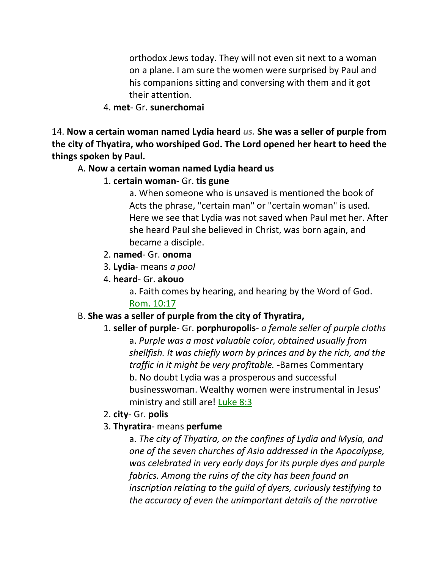orthodox Jews today. They will not even sit next to a woman on a plane. I am sure the women were surprised by Paul and his companions sitting and conversing with them and it got their attention.

#### 4. **met**- Gr. **sunerchomai**

14. **Now a certain woman named Lydia heard** *us.* **She was a seller of purple from the city of Thyatira, who worshiped God. The Lord opened her heart to heed the things spoken by Paul.**

#### A. **Now a certain woman named Lydia heard us**

#### 1. **certain woman**- Gr. **tis gune**

a. When someone who is unsaved is mentioned the book of Acts the phrase, "certain man" or "certain woman" is used. Here we see that Lydia was not saved when Paul met her. After she heard Paul she believed in Christ, was born again, and became a disciple.

#### 2. **named**- Gr. **onoma**

- 3. **Lydia** means *a pool*
- 4. **heard** Gr. **akouo**
	- a. Faith comes by hearing, and hearing by the Word of God. Rom. 10:17

## B. **She was a seller of purple from the city of Thyratira,**

- 1. **seller of purple** Gr. **porphuropolis** *a female seller of purple cloths* a. *Purple was a most valuable color, obtained usually from shellfish. It was chiefly worn by princes and by the rich, and the traffic in it might be very profitable.* -Barnes Commentary b. No doubt Lydia was a prosperous and successful businesswoman. Wealthy women were instrumental in Jesus' ministry and still are! Luke 8:3
- 2. **city** Gr. **polis**
- 3. **Thyratira** means **perfume**

a. *The city of Thyatira, on the confines of Lydia and Mysia, and one of the seven churches of Asia addressed in the Apocalypse, was celebrated in very early days for its purple dyes and purple fabrics. Among the ruins of the city has been found an inscription relating to the guild of dyers, curiously testifying to the accuracy of even the unimportant details of the narrative*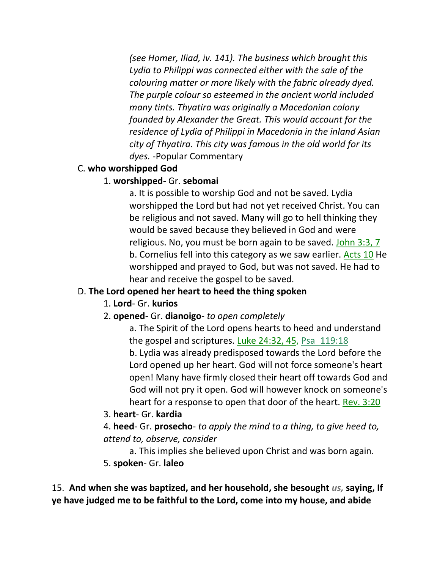*(see Homer, Iliad, iv. 141). The business which brought this Lydia to Philippi was connected either with the sale of the colouring matter or more likely with the fabric already dyed. The purple colour so esteemed in the ancient world included many tints. Thyatira was originally a Macedonian colony founded by Alexander the Great. This would account for the residence of Lydia of Philippi in Macedonia in the inland Asian city of Thyatira. This city was famous in the old world for its dyes.* -Popular Commentary

## C. **who worshipped God**

# 1. **worshipped**- Gr. **sebomai**

a. It is possible to worship God and not be saved. Lydia worshipped the Lord but had not yet received Christ. You can be religious and not saved. Many will go to hell thinking they would be saved because they believed in God and were religious. No, you must be born again to be saved. John 3:3, 7 b. Cornelius fell into this category as we saw earlier. Acts 10 He worshipped and prayed to God, but was not saved. He had to hear and receive the gospel to be saved.

# D. **The Lord opened her heart to heed the thing spoken**

# 1. **Lord**- Gr. **kurios**

# 2. **opened**- Gr. **dianoigo**- *to open completely*

a. The Spirit of the Lord opens hearts to heed and understand the gospel and scriptures. Luke 24:32, 45, Psa\_119:18 b. Lydia was already predisposed towards the Lord before the Lord opened up her heart. God will not force someone's heart open! Many have firmly closed their heart off towards God and God will not pry it open. God will however knock on someone's heart for a response to open that door of the heart. Rev. 3:20

3. **heart**- Gr. **kardia**

4. **heed**- Gr. **prosecho**- *to apply the mind to a thing, to give heed to, attend to, observe, consider*

a. This implies she believed upon Christ and was born again.

5. **spoken**- Gr. **laleo**

15. **And when she was baptized, and her household, she besought** *us,* **saying, If ye have judged me to be faithful to the Lord, come into my house, and abide**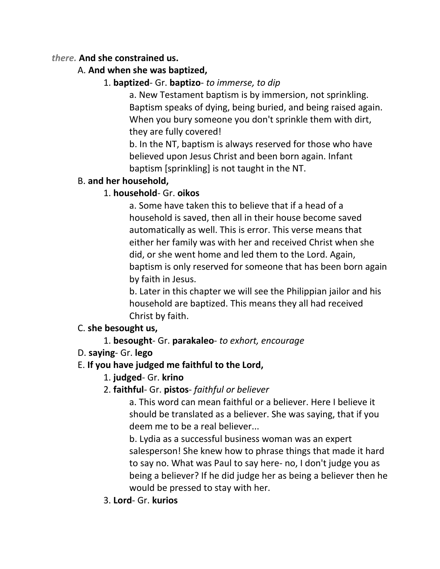#### *there.* **And she constrained us.**

# A. **And when she was baptized,**

# 1. **baptized**- Gr. **baptizo**- *to immerse, to dip*

a. New Testament baptism is by immersion, not sprinkling. Baptism speaks of dying, being buried, and being raised again. When you bury someone you don't sprinkle them with dirt, they are fully covered!

b. In the NT, baptism is always reserved for those who have believed upon Jesus Christ and been born again. Infant baptism [sprinkling] is not taught in the NT.

## B. **and her household,**

# 1. **household**- Gr. **oikos**

a. Some have taken this to believe that if a head of a household is saved, then all in their house become saved automatically as well. This is error. This verse means that either her family was with her and received Christ when she did, or she went home and led them to the Lord. Again, baptism is only reserved for someone that has been born again by faith in Jesus.

b. Later in this chapter we will see the Philippian jailor and his household are baptized. This means they all had received Christ by faith.

## C. **she besought us,**

# 1. **besought**- Gr. **parakaleo**- *to exhort, encourage*

## D. **saying**- Gr. **lego**

## E. **If you have judged me faithful to the Lord,**

# 1. **judged**- Gr. **krino**

## 2. **faithful**- Gr. **pistos**- *faithful or believer*

a. This word can mean faithful or a believer. Here I believe it should be translated as a believer. She was saying, that if you deem me to be a real believer...

b. Lydia as a successful business woman was an expert salesperson! She knew how to phrase things that made it hard to say no. What was Paul to say here- no, I don't judge you as being a believer? If he did judge her as being a believer then he would be pressed to stay with her.

3. **Lord**- Gr. **kurios**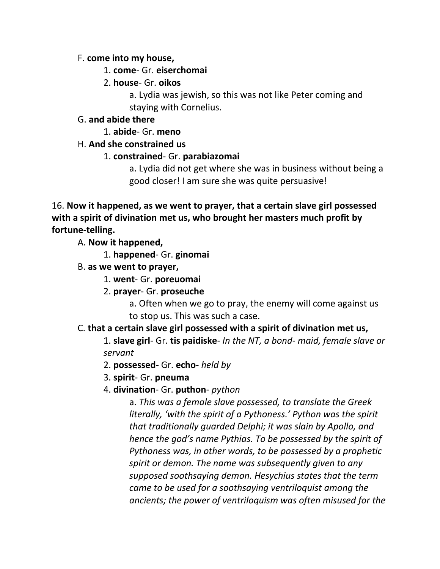#### F. **come into my house,**

#### 1. **come**- Gr. **eiserchomai**

2. **house**- Gr. **oikos**

a. Lydia was jewish, so this was not like Peter coming and staying with Cornelius.

# G. **and abide there**

1. **abide**- Gr. **meno**

# H. **And she constrained us**

# 1. **constrained**- Gr. **parabiazomai**

a. Lydia did not get where she was in business without being a good closer! I am sure she was quite persuasive!

16. **Now it happened, as we went to prayer, that a certain slave girl possessed with a spirit of divination met us, who brought her masters much profit by fortune-telling.**

A. **Now it happened,**

1. **happened**- Gr. **ginomai**

- B. **as we went to prayer,**
	- 1. **went** Gr. **poreuomai**
	- 2. **prayer** Gr. **proseuche**

a. Often when we go to pray, the enemy will come against us to stop us. This was such a case.

## C. **that a certain slave girl possessed with a spirit of divination met us,**

1. **slave girl**- Gr. **tis paidiske**- *In the NT, a bond- maid, female slave or servant*

- 2. **possessed** Gr. **echo** *held by*
- 3. **spirit** Gr. **pneuma**
- 4. **divination** Gr. **puthon** *python*

a. *This was a female slave possessed, to translate the Greek literally, 'with the spirit of a Pythoness.' Python was the spirit that traditionally guarded Delphi; it was slain by Apollo, and hence the god's name Pythias. To be possessed by the spirit of Pythoness was, in other words, to be possessed by a prophetic spirit or demon. The name was subsequently given to any supposed soothsaying demon. Hesychius states that the term came to be used for a soothsaying ventriloquist among the ancients; the power of ventriloquism was often misused for the*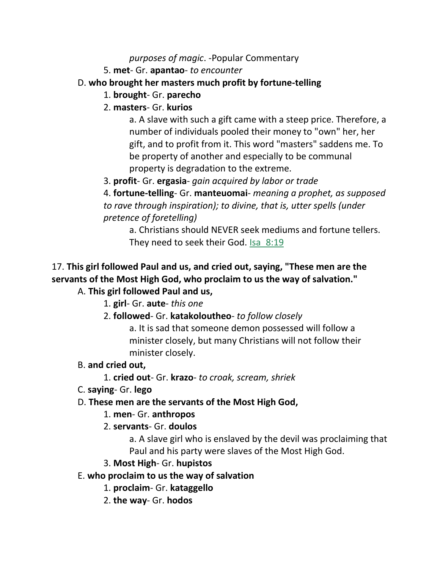#### *purposes of magic*. -Popular Commentary

5. **met**- Gr. **apantao**- *to encounter*

# D. **who brought her masters much profit by fortune-telling**

- 1. **brought** Gr. **parecho**
- 2. **masters** Gr. **kurios**

a. A slave with such a gift came with a steep price. Therefore, a number of individuals pooled their money to "own" her, her gift, and to profit from it. This word "masters" saddens me. To be property of another and especially to be communal property is degradation to the extreme.

3. **profit**- Gr. **ergasia**- *gain acquired by labor or trade*

4. **fortune-telling**- Gr. **manteuomai**- *meaning a prophet, as supposed to rave through inspiration); to divine, that is, utter spells (under pretence of foretelling)*

a. Christians should NEVER seek mediums and fortune tellers. They need to seek their God. Isa\_8:19

#### 17. **This girl followed Paul and us, and cried out, saying, "These men are the servants of the Most High God, who proclaim to us the way of salvation."** A. **This girl followed Paul and us,**

- 1. **girl** Gr. **aute** *this one*
- 2. **followed** Gr. **katakoloutheo** *to follow closely*

a. It is sad that someone demon possessed will follow a minister closely, but many Christians will not follow their minister closely.

## B. **and cried out,**

- 1. **cried out** Gr. **krazo** *to croak, scream, shriek*
- C. **saying** Gr. **lego**

# D. **These men are the servants of the Most High God,**

## 1. **men**- Gr. **anthropos**

2. **servants**- Gr. **doulos**

a. A slave girl who is enslaved by the devil was proclaiming that Paul and his party were slaves of the Most High God.

# 3. **Most High**- Gr. **hupistos**

# E. **who proclaim to us the way of salvation**

- 1. **proclaim** Gr. **kataggello**
- 2. **the way** Gr. **hodos**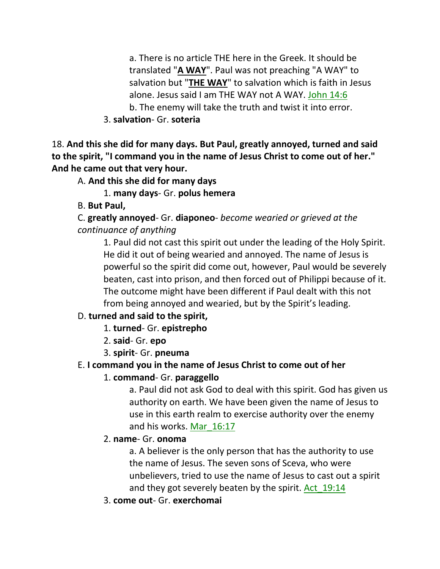a. There is no article THE here in the Greek. It should be translated "**A WAY**". Paul was not preaching "A WAY" to salvation but "**THE WAY**" to salvation which is faith in Jesus alone. Jesus said I am THE WAY not A WAY. John 14:6 b. The enemy will take the truth and twist it into error.

3. **salvation**- Gr. **soteria**

18. **And this she did for many days. But Paul, greatly annoyed, turned and said to the spirit, "I command you in the name of Jesus Christ to come out of her." And he came out that very hour.**

A. **And this she did for many days**

1. **many days**- Gr. **polus hemera**

B. **But Paul,**

C. **greatly annoyed**- Gr. **diaponeo**- *become wearied or grieved at the continuance of anything*

1. Paul did not cast this spirit out under the leading of the Holy Spirit. He did it out of being wearied and annoyed. The name of Jesus is powerful so the spirit did come out, however, Paul would be severely beaten, cast into prison, and then forced out of Philippi because of it. The outcome might have been different if Paul dealt with this not from being annoyed and wearied, but by the Spirit's leading.

# D. **turned and said to the spirit,**

- 1. **turned** Gr. **epistrepho**
- 2. **said** Gr. **epo**
- 3. **spirit** Gr. **pneuma**

# E. **I command you in the name of Jesus Christ to come out of her**

1. **command**- Gr. **paraggello**

a. Paul did not ask God to deal with this spirit. God has given us authority on earth. We have been given the name of Jesus to use in this earth realm to exercise authority over the enemy and his works. Mar\_16:17

2. **name**- Gr. **onoma**

a. A believer is the only person that has the authority to use the name of Jesus. The seven sons of Sceva, who were unbelievers, tried to use the name of Jesus to cast out a spirit and they got severely beaten by the spirit. Act 19:14

3. **come out**- Gr. **exerchomai**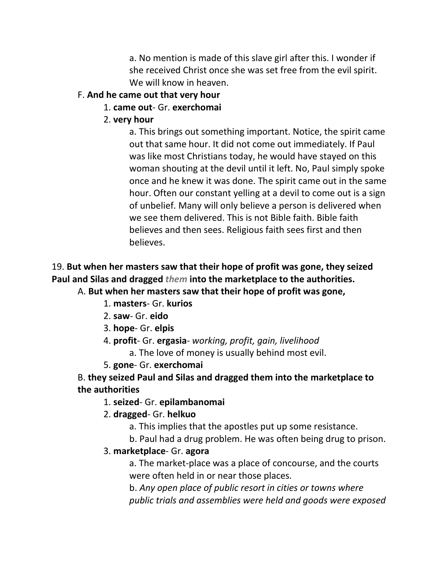a. No mention is made of this slave girl after this. I wonder if she received Christ once she was set free from the evil spirit. We will know in heaven.

# F. **And he came out that very hour**

# 1. **came out**- Gr. **exerchomai**

2. **very hour**

a. This brings out something important. Notice, the spirit came out that same hour. It did not come out immediately. If Paul was like most Christians today, he would have stayed on this woman shouting at the devil until it left. No, Paul simply spoke once and he knew it was done. The spirit came out in the same hour. Often our constant yelling at a devil to come out is a sign of unbelief. Many will only believe a person is delivered when we see them delivered. This is not Bible faith. Bible faith believes and then sees. Religious faith sees first and then believes.

# 19. **But when her masters saw that their hope of profit was gone, they seized Paul and Silas and dragged** *them* **into the marketplace to the authorities.**

A. **But when her masters saw that their hope of profit was gone,**

- 1. **masters** Gr. **kurios**
- 2. **saw** Gr. **eido**
- 3. **hope** Gr. **elpis**
- 4. **profit** Gr. **ergasia** *working, profit, gain, livelihood*

a. The love of money is usually behind most evil.

5. **gone**- Gr. **exerchomai**

B. **they seized Paul and Silas and dragged them into the marketplace to the authorities**

# 1. **seized**- Gr. **epilambanomai**

# 2. **dragged**- Gr. **helkuo**

- a. This implies that the apostles put up some resistance.
- b. Paul had a drug problem. He was often being drug to prison.

# 3. **marketplace**- Gr. **agora**

a. The market-place was a place of concourse, and the courts were often held in or near those places.

b. *Any open place of public resort in cities or towns where public trials and assemblies were held and goods were exposed*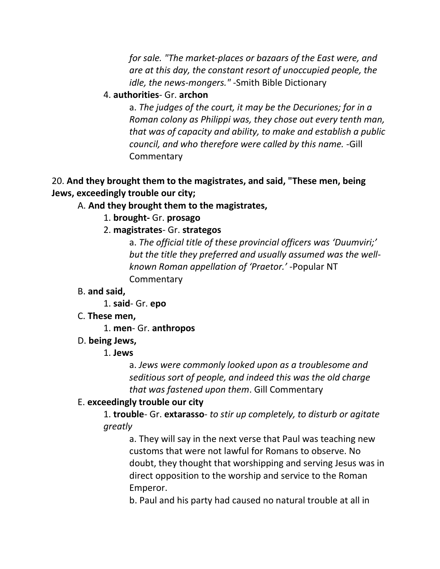*for sale. "The market-places or bazaars of the East were, and are at this day, the constant resort of unoccupied people, the idle, the news-mongers." -*Smith Bible Dictionary

#### 4. **authorities**- Gr. **archon**

a. *The judges of the court, it may be the Decuriones; for in a Roman colony as Philippi was, they chose out every tenth man, that was of capacity and ability, to make and establish a public council, and who therefore were called by this name.* -Gill **Commentary** 

#### 20. **And they brought them to the magistrates, and said, "These men, being Jews, exceedingly trouble our city;**

#### A. **And they brought them to the magistrates,**

- 1. **brought-** Gr. **prosago**
- 2. **magistrates** Gr. **strategos**

a. *The official title of these provincial officers was 'Duumviri;' but the title they preferred and usually assumed was the wellknown Roman appellation of 'Praetor.'* -Popular NT **Commentary** 

#### B. **and said,**

1. **said**- Gr. **epo**

#### C. **These men,**

1. **men**- Gr. **anthropos**

#### D. **being Jews,**

#### 1. **Jews**

a. *Jews were commonly looked upon as a troublesome and seditious sort of people, and indeed this was the old charge that was fastened upon them*. Gill Commentary

#### E. **exceedingly trouble our city**

1. **trouble**- Gr. **extarasso**- *to stir up completely, to disturb or agitate greatly*

a. They will say in the next verse that Paul was teaching new customs that were not lawful for Romans to observe. No doubt, they thought that worshipping and serving Jesus was in direct opposition to the worship and service to the Roman Emperor.

b. Paul and his party had caused no natural trouble at all in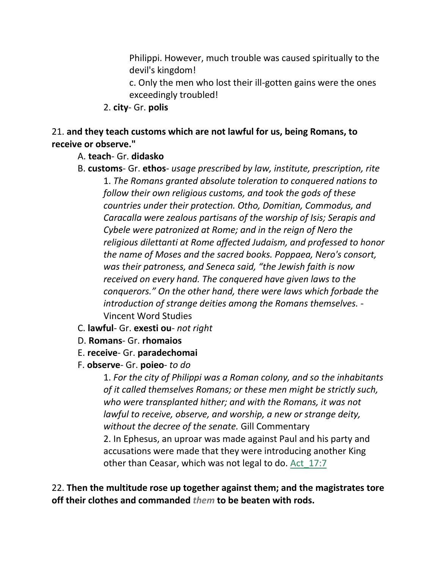Philippi. However, much trouble was caused spiritually to the devil's kingdom!

c. Only the men who lost their ill-gotten gains were the ones exceedingly troubled!

2. **city**- Gr. **polis**

#### 21. **and they teach customs which are not lawful for us, being Romans, to receive or observe."**

#### A. **teach**- Gr. **didasko**

- B. **customs** Gr. **ethos** *usage prescribed by law, institute, prescription, rite* 1. *The Romans granted absolute toleration to conquered nations to follow their own religious customs, and took the gods of these countries under their protection. Otho, Domitian, Commodus, and Caracalla were zealous partisans of the worship of Isis; Serapis and Cybele were patronized at Rome; and in the reign of Nero the religious dilettanti at Rome affected Judaism, and professed to honor the name of Moses and the sacred books. Poppaea, Nero's consort, was their patroness, and Seneca said, "the Jewish faith is now received on every hand. The conquered have given laws to the conquerors." On the other hand, there were laws which forbade the introduction of strange deities among the Romans themselves.* - Vincent Word Studies
- C. **lawful** Gr. **exesti ou** *not right*
- D. **Romans** Gr. **rhomaios**
- E. **receive** Gr. **paradechomai**
- F. **observe** Gr. **poieo** *to do*

1. *For the city of Philippi was a Roman colony, and so the inhabitants of it called themselves Romans; or these men might be strictly such, who were transplanted hither; and with the Romans, it was not lawful to receive, observe, and worship, a new or strange deity, without the decree of the senate.* Gill Commentary 2. In Ephesus, an uproar was made against Paul and his party and accusations were made that they were introducing another King other than Ceasar, which was not legal to do. Act\_17:7

22. **Then the multitude rose up together against them; and the magistrates tore off their clothes and commanded** *them* **to be beaten with rods.**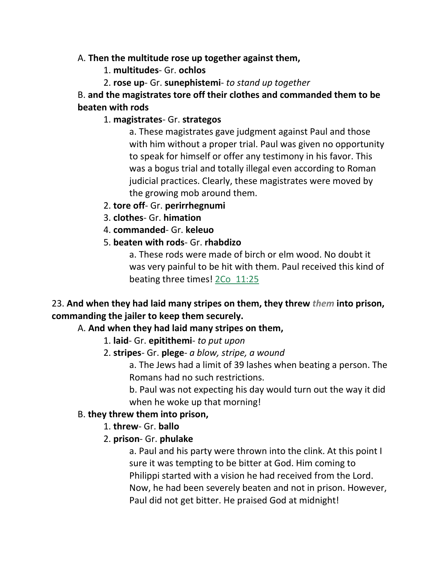#### A. **Then the multitude rose up together against them,**

- 1. **multitudes** Gr. **ochlos**
- 2. **rose up** Gr. **sunephistemi** *to stand up together*

# B. **and the magistrates tore off their clothes and commanded them to be beaten with rods**

# 1. **magistrates**- Gr. **strategos**

a. These magistrates gave judgment against Paul and those with him without a proper trial. Paul was given no opportunity to speak for himself or offer any testimony in his favor. This was a bogus trial and totally illegal even according to Roman judicial practices. Clearly, these magistrates were moved by the growing mob around them.

- 2. **tore off** Gr. **perirrhegnumi**
- 3. **clothes** Gr. **himation**
- 4. **commanded** Gr. **keleuo**
- 5. **beaten with rods** Gr. **rhabdizo**

a. These rods were made of birch or elm wood. No doubt it was very painful to be hit with them. Paul received this kind of beating three times! 2Co\_11:25

# 23. **And when they had laid many stripes on them, they threw** *them* **into prison, commanding the jailer to keep them securely.**

# A. **And when they had laid many stripes on them,**

- 1. **laid** Gr. **epitithemi** *to put upon*
- 2. **stripes** Gr. **plege** *a blow, stripe, a wound*

a. The Jews had a limit of 39 lashes when beating a person. The Romans had no such restrictions.

b. Paul was not expecting his day would turn out the way it did when he woke up that morning!

## B. **they threw them into prison,**

- 1. **threw** Gr. **ballo**
- 2. **prison** Gr. **phulake**

a. Paul and his party were thrown into the clink. At this point I sure it was tempting to be bitter at God. Him coming to Philippi started with a vision he had received from the Lord. Now, he had been severely beaten and not in prison. However, Paul did not get bitter. He praised God at midnight!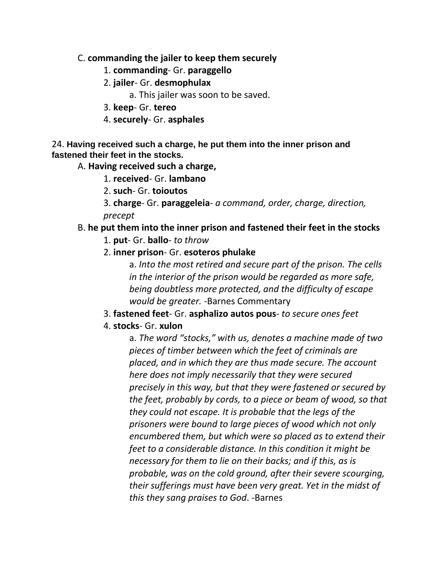#### C. **commanding the jailer to keep them securely**

- 1. **commanding** Gr. **paraggello**
- 2. **jailer** Gr. **desmophulax**
	- a. This jailer was soon to be saved.
- 3. **keep** Gr. **tereo**
- 4. **securely** Gr. **asphales**

#### 24. **Having received such a charge, he put them into the inner prison and fastened their feet in the stocks.**

A. **Having received such a charge,**

- 1. **received** Gr. **lambano**
- 2. **such** Gr. **toioutos**
- 3. **charge** Gr. **paraggeleia** *a command, order, charge, direction, precept*

## B. **he put them into the inner prison and fastened their feet in the stocks**

- 1. **put** Gr. **ballo** *to throw*
- 2. **inner prison** Gr. **esoteros phulake**

a. *Into the most retired and secure part of the prison. The cells in the interior of the prison would be regarded as more safe, being doubtless more protected, and the difficulty of escape would be greater.* -Barnes Commentary

3. **fastened feet**- Gr. **asphalizo autos pous**- *to secure ones feet*

## 4. **stocks**- Gr. **xulon**

a. *The word "stocks," with us, denotes a machine made of two pieces of timber between which the feet of criminals are placed, and in which they are thus made secure. The account here does not imply necessarily that they were secured precisely in this way, but that they were fastened or secured by the feet, probably by cords, to a piece or beam of wood, so that they could not escape. It is probable that the legs of the prisoners were bound to large pieces of wood which not only encumbered them, but which were so placed as to extend their feet to a considerable distance. In this condition it might be necessary for them to lie on their backs; and if this, as is probable, was on the cold ground, after their severe scourging, their sufferings must have been very great. Yet in the midst of this they sang praises to God*. -Barnes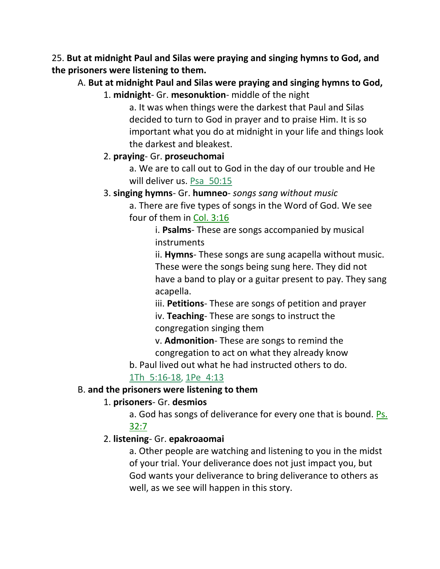25. **But at midnight Paul and Silas were praying and singing hymns to God, and the prisoners were listening to them.**

A. **But at midnight Paul and Silas were praying and singing hymns to God,**

1. **midnight**- Gr. **mesonuktion**- middle of the night

a. It was when things were the darkest that Paul and Silas decided to turn to God in prayer and to praise Him. It is so important what you do at midnight in your life and things look the darkest and bleakest.

## 2. **praying**- Gr. **proseuchomai**

a. We are to call out to God in the day of our trouble and He will deliver us. Psa 50:15

3. **singing hymns**- Gr. **humneo**- *songs sang without music*

a. There are five types of songs in the Word of God. We see four of them in Col. 3:16

> i. **Psalms**- These are songs accompanied by musical instruments

ii. **Hymns**- These songs are sung acapella without music. These were the songs being sung here. They did not have a band to play or a guitar present to pay. They sang acapella.

iii. **Petitions**- These are songs of petition and prayer iv. **Teaching**- These are songs to instruct the congregation singing them

v. **Admonition**- These are songs to remind the congregation to act on what they already know

b. Paul lived out what he had instructed others to do.

# 1Th\_5:16-18, 1Pe\_4:13

## B. **and the prisoners were listening to them**

## 1. **prisoners**- Gr. **desmios**

a. God has songs of deliverance for every one that is bound. Ps. 32:7

#### 2. **listening**- Gr. **epakroaomai**

a. Other people are watching and listening to you in the midst of your trial. Your deliverance does not just impact you, but God wants your deliverance to bring deliverance to others as well, as we see will happen in this story.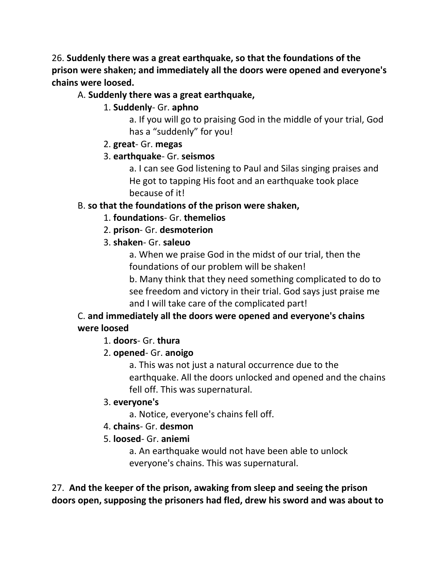26. **Suddenly there was a great earthquake, so that the foundations of the prison were shaken; and immediately all the doors were opened and everyone's chains were loosed.**

## A. **Suddenly there was a great earthquake,**

#### 1. **Suddenly**- Gr. **aphno**

a. If you will go to praising God in the middle of your trial, God has a "suddenly" for you!

#### 2. **great**- Gr. **megas**

#### 3. **earthquake**- Gr. **seismos**

a. I can see God listening to Paul and Silas singing praises and He got to tapping His foot and an earthquake took place because of it!

#### B. **so that the foundations of the prison were shaken,**

#### 1. **foundations**- Gr. **themelios**

2. **prison**- Gr. **desmoterion**

## 3. **shaken**- Gr. **saleuo**

a. When we praise God in the midst of our trial, then the foundations of our problem will be shaken!

b. Many think that they need something complicated to do to see freedom and victory in their trial. God says just praise me and I will take care of the complicated part!

# C. **and immediately all the doors were opened and everyone's chains were loosed**

## 1. **doors**- Gr. **thura**

## 2. **opened**- Gr. **anoigo**

a. This was not just a natural occurrence due to the earthquake. All the doors unlocked and opened and the chains fell off. This was supernatural.

#### 3. **everyone's**

a. Notice, everyone's chains fell off.

#### 4. **chains**- Gr. **desmon**

## 5. **loosed**- Gr. **aniemi**

a. An earthquake would not have been able to unlock everyone's chains. This was supernatural.

27. **And the keeper of the prison, awaking from sleep and seeing the prison doors open, supposing the prisoners had fled, drew his sword and was about to**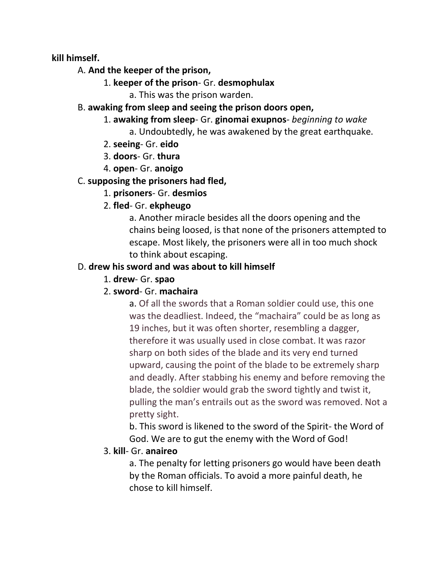**kill himself.**

#### A. **And the keeper of the prison,**

- 1. **keeper of the prison** Gr. **desmophulax**
	- a. This was the prison warden.

#### B. **awaking from sleep and seeing the prison doors open,**

- 1. **awaking from sleep** Gr. **ginomai exupnos** *beginning to wake* a. Undoubtedly, he was awakened by the great earthquake.
- 2. **seeing** Gr. **eido**
- 3. **doors** Gr. **thura**
- 4. **open** Gr. **anoigo**

# C. **supposing the prisoners had fled,**

1. **prisoners**- Gr. **desmios**

# 2. **fled**- Gr. **ekpheugo**

a. Another miracle besides all the doors opening and the chains being loosed, is that none of the prisoners attempted to escape. Most likely, the prisoners were all in too much shock to think about escaping.

# D. **drew his sword and was about to kill himself**

1. **drew**- Gr. **spao**

# 2. **sword**- Gr. **machaira**

a. Of all the swords that a Roman soldier could use, this one was the deadliest. Indeed, the "machaira" could be as long as 19 inches, but it was often shorter, resembling a dagger, therefore it was usually used in close combat. It was razor sharp on both sides of the blade and its very end turned upward, causing the point of the blade to be extremely sharp and deadly. After stabbing his enemy and before removing the blade, the soldier would grab the sword tightly and twist it, pulling the man's entrails out as the sword was removed. Not a pretty sight.

b. This sword is likened to the sword of the Spirit- the Word of God. We are to gut the enemy with the Word of God!

# 3. **kill**- Gr. **anaireo**

a. The penalty for letting prisoners go would have been death by the Roman officials. To avoid a more painful death, he chose to kill himself.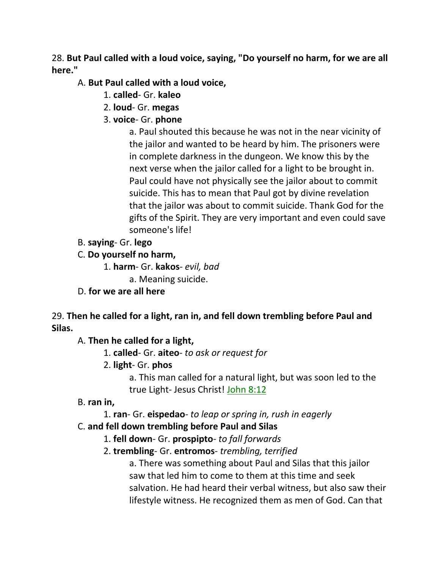28. **But Paul called with a loud voice, saying, "Do yourself no harm, for we are all here."**

#### A. **But Paul called with a loud voice,**

- 1. **called** Gr. **kaleo**
- 2. **loud** Gr. **megas**
- 3. **voice** Gr. **phone**

a. Paul shouted this because he was not in the near vicinity of the jailor and wanted to be heard by him. The prisoners were in complete darkness in the dungeon. We know this by the next verse when the jailor called for a light to be brought in. Paul could have not physically see the jailor about to commit suicide. This has to mean that Paul got by divine revelation that the jailor was about to commit suicide. Thank God for the gifts of the Spirit. They are very important and even could save someone's life!

B. **saying**- Gr. **lego**

## C. **Do yourself no harm,**

- 1. **harm** Gr. **kakos** *evil, bad*
	- a. Meaning suicide.
- D. **for we are all here**

29. **Then he called for a light, ran in, and fell down trembling before Paul and Silas.**

A. **Then he called for a light,**

- 1. **called** Gr. **aiteo** *to ask or request for*
- 2. **light** Gr. **phos**

a. This man called for a natural light, but was soon led to the true Light- Jesus Christ! John 8:12

## B. **ran in,**

1. **ran**- Gr. **eispedao**- *to leap or spring in, rush in eagerly*

## C. **and fell down trembling before Paul and Silas**

- 1. **fell down** Gr. **prospipto** *to fall forwards*
- 2. **trembling** Gr. **entromos** *trembling, terrified*

a. There was something about Paul and Silas that this jailor saw that led him to come to them at this time and seek salvation. He had heard their verbal witness, but also saw their lifestyle witness. He recognized them as men of God. Can that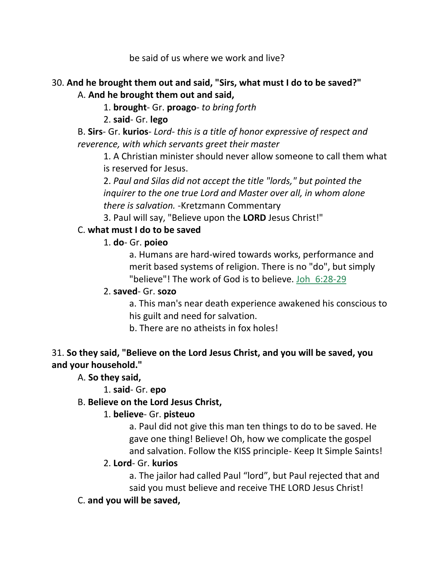be said of us where we work and live?

#### 30. **And he brought them out and said, "Sirs, what must I do to be saved?"** A. **And he brought them out and said,**

- 1. **brought** Gr. **proago** *to bring forth*
- 2. **said** Gr. **lego**
- B. **Sirs** Gr. **kurios** *Lord- this is a title of honor expressive of respect and reverence, with which servants greet their master*

1. A Christian minister should never allow someone to call them what is reserved for Jesus.

2. *Paul and Silas did not accept the title "lords," but pointed the inquirer to the one true Lord and Master over all, in whom alone there is salvation.* -Kretzmann Commentary

3. Paul will say, "Believe upon the **LORD** Jesus Christ!"

## C. **what must I do to be saved**

1. **do**- Gr. **poieo**

a. Humans are hard-wired towards works, performance and merit based systems of religion. There is no "do", but simply "believe"! The work of God is to believe. Joh\_6:28-29

## 2. **saved**- Gr. **sozo**

a. This man's near death experience awakened his conscious to his guilt and need for salvation.

b. There are no atheists in fox holes!

## 31. **So they said, "Believe on the Lord Jesus Christ, and you will be saved, you and your household."**

A. **So they said,**

1. **said**- Gr. **epo**

## B. **Believe on the Lord Jesus Christ,**

## 1. **believe**- Gr. **pisteuo**

a. Paul did not give this man ten things to do to be saved. He gave one thing! Believe! Oh, how we complicate the gospel and salvation. Follow the KISS principle- Keep It Simple Saints!

## 2. **Lord**- Gr. **kurios**

a. The jailor had called Paul "lord", but Paul rejected that and said you must believe and receive THE LORD Jesus Christ!

## C. **and you will be saved,**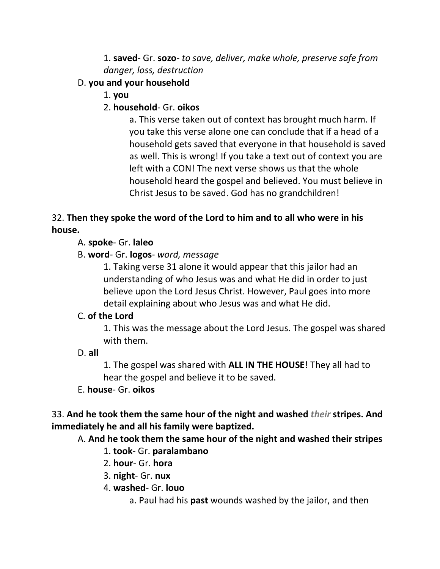1. **saved**- Gr. **sozo**- *to save, deliver, make whole, preserve safe from danger, loss, destruction*

# D. **you and your household**

1. **you**

# 2. **household**- Gr. **oikos**

a. This verse taken out of context has brought much harm. If you take this verse alone one can conclude that if a head of a household gets saved that everyone in that household is saved as well. This is wrong! If you take a text out of context you are left with a CON! The next verse shows us that the whole household heard the gospel and believed. You must believe in Christ Jesus to be saved. God has no grandchildren!

# 32. **Then they spoke the word of the Lord to him and to all who were in his house.**

# A. **spoke**- Gr. **laleo**

# B. **word**- Gr. **logos**- *word, message*

1. Taking verse 31 alone it would appear that this jailor had an understanding of who Jesus was and what He did in order to just believe upon the Lord Jesus Christ. However, Paul goes into more detail explaining about who Jesus was and what He did.

## C. **of the Lord**

1. This was the message about the Lord Jesus. The gospel was shared with them.

## D. **all**

1. The gospel was shared with **ALL IN THE HOUSE**! They all had to hear the gospel and believe it to be saved.

## E. **house**- Gr. **oikos**

33. **And he took them the same hour of the night and washed** *their* **stripes. And immediately he and all his family were baptized.**

## A. **And he took them the same hour of the night and washed their stripes**

## 1. **took**- Gr. **paralambano**

- 2. **hour** Gr. **hora**
- 3. **night** Gr. **nux**
- 4. **washed** Gr. **louo**
	- a. Paul had his **past** wounds washed by the jailor, and then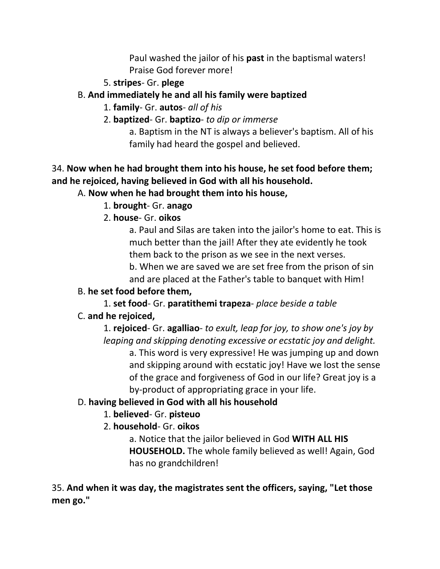Paul washed the jailor of his **past** in the baptismal waters! Praise God forever more!

- 5. **stripes** Gr. **plege**
- B. **And immediately he and all his family were baptized**
	- 1. **family** Gr. **autos** *all of his*
	- 2. **baptized** Gr. **baptizo** *to dip or immerse*

a. Baptism in the NT is always a believer's baptism. All of his family had heard the gospel and believed.

# 34. **Now when he had brought them into his house, he set food before them; and he rejoiced, having believed in God with all his household.**

# A. **Now when he had brought them into his house,**

- 1. **brought** Gr. **anago**
- 2. **house** Gr. **oikos**

a. Paul and Silas are taken into the jailor's home to eat. This is much better than the jail! After they ate evidently he took them back to the prison as we see in the next verses.

b. When we are saved we are set free from the prison of sin and are placed at the Father's table to banquet with Him!

# B. **he set food before them,**

1. **set food**- Gr. **paratithemi trapeza**- *place beside a table* C. **and he rejoiced,**

1. **rejoiced**- Gr. **agalliao**- *to exult, leap for joy, to show one's joy by leaping and skipping denoting excessive or ecstatic joy and delight.*

a. This word is very expressive! He was jumping up and down and skipping around with ecstatic joy! Have we lost the sense of the grace and forgiveness of God in our life? Great joy is a by-product of appropriating grace in your life.

# D. **having believed in God with all his household**

# 1. **believed**- Gr. **pisteuo**

2. **household**- Gr. **oikos**

a. Notice that the jailor believed in God **WITH ALL HIS HOUSEHOLD.** The whole family believed as well! Again, God has no grandchildren!

35. **And when it was day, the magistrates sent the officers, saying, "Let those men go."**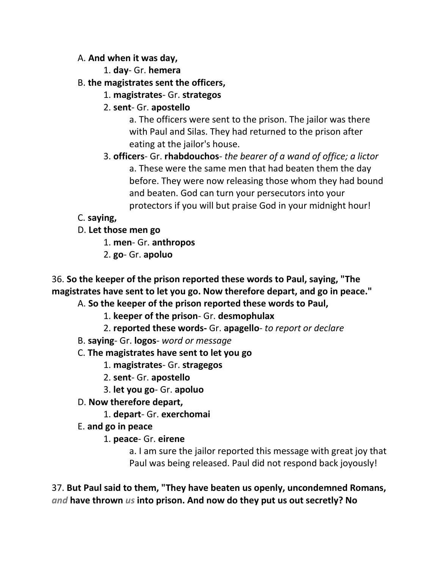#### A. **And when it was day,**

- 1. **day** Gr. **hemera**
- B. **the magistrates sent the officers,**
	- 1. **magistrates** Gr. **strategos**
	- 2. **sent** Gr. **apostello**

a. The officers were sent to the prison. The jailor was there with Paul and Silas. They had returned to the prison after eating at the jailor's house.

3. **officers**- Gr. **rhabdouchos**- *the bearer of a wand of office; a lictor* a. These were the same men that had beaten them the day before. They were now releasing those whom they had bound and beaten. God can turn your persecutors into your protectors if you will but praise God in your midnight hour!

# C. **saying,**

D. **Let those men go**

- 1. **men** Gr. **anthropos**
- 2. **go** Gr. **apoluo**

36. **So the keeper of the prison reported these words to Paul, saying, "The magistrates have sent to let you go. Now therefore depart, and go in peace."**

A. **So the keeper of the prison reported these words to Paul,** 

- 1. **keeper of the prison** Gr. **desmophulax**
- 2. **reported these words-** Gr. **apagello** *to report or declare*
- B. **saying** Gr. **logos** *word or message*
- C. **The magistrates have sent to let you go**
	- 1. **magistrates** Gr. **stragegos**
	- 2. **sent** Gr. **apostello**
	- 3. **let you go** Gr. **apoluo**
- D. **Now therefore depart,**
	- 1. **depart** Gr. **exerchomai**
- E. **and go in peace**
	- 1. **peace** Gr. **eirene**

a. I am sure the jailor reported this message with great joy that Paul was being released. Paul did not respond back joyously!

37. **But Paul said to them, "They have beaten us openly, uncondemned Romans,**  *and* **have thrown** *us* **into prison. And now do they put us out secretly? No**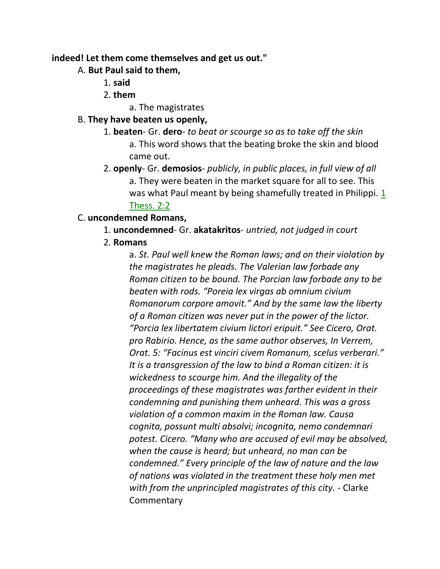#### **indeed! Let them come themselves and get us out."**

#### A. **But Paul said to them,**

- 1. **said**
- 2. **them**
	- a. The magistrates

# B. **They have beaten us openly,**

- 1. **beaten** Gr. **dero** *to beat or scourge so as to take off the skin* a. This word shows that the beating broke the skin and blood came out.
- 2. **openly** Gr. **demosios** *publicly, in public places, in full view of all* a. They were beaten in the market square for all to see. This was what Paul meant by being shamefully treated in Philippi. 1 Thess. 2:2

# C. **uncondemned Romans,**

- 1. **uncondemned** Gr. **akatakritos** *untried, not judged in court*
- 2. **Romans**

a. *St. Paul well knew the Roman laws; and on their violation by the magistrates he pleads. The Valerian law forbade any Roman citizen to be bound. The Porcian law forbade any to be beaten with rods. "Poreia lex virgas ab omnium civium Romanorum corpore amovit." And by the same law the liberty of a Roman citizen was never put in the power of the lictor. "Porcia lex libertatem civium lictori eripuit." See Cicero, Orat. pro Rabirio. Hence, as the same author observes, In Verrem, Orat. 5: "Facinus est vinciri civem Romanum, scelus verberari." It is a transgression of the law to bind a Roman citizen: it is wickedness to scourge him. And the illegality of the proceedings of these magistrates was farther evident in their condemning and punishing them unheard. This was a gross violation of a common maxim in the Roman law. Causa cognita, possunt multi absolvi; incognita, nemo condemnari potest. Cicero. "Many who are accused of evil may be absolved, when the cause is heard; but unheard, no man can be condemned." Every principle of the law of nature and the law of nations was violated in the treatment these holy men met with from the unprincipled magistrates of this city.* - Clarke **Commentary**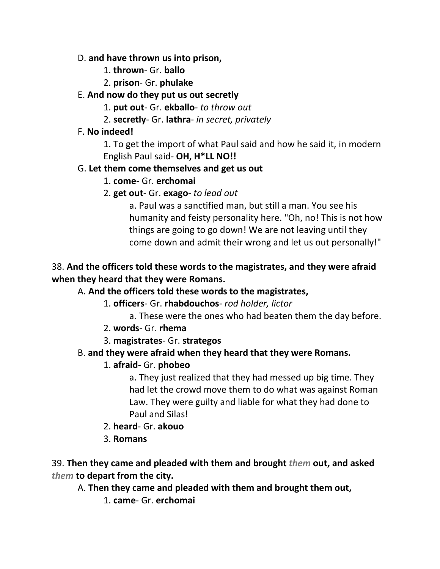#### D. **and have thrown us into prison,**

- 1. **thrown** Gr. **ballo**
- 2. **prison** Gr. **phulake**

# E. **And now do they put us out secretly**

- 1. **put out** Gr. **ekballo** *to throw out*
- 2. **secretly** Gr. **lathra** *in secret, privately*

# F. **No indeed!**

1. To get the import of what Paul said and how he said it, in modern English Paul said- **OH, H\*LL NO!!**

# G. **Let them come themselves and get us out**

- 1. **come** Gr. **erchomai**
- 2. **get out** Gr. **exago** *to lead out*

a. Paul was a sanctified man, but still a man. You see his humanity and feisty personality here. "Oh, no! This is not how things are going to go down! We are not leaving until they come down and admit their wrong and let us out personally!"

# 38. **And the officers told these words to the magistrates, and they were afraid when they heard that they were Romans.**

# A. **And the officers told these words to the magistrates,**

- 1. **officers** Gr. **rhabdouchos** *rod holder, lictor*
	- a. These were the ones who had beaten them the day before.
- 2. **words** Gr. **rhema**
- 3. **magistrates** Gr. **strategos**

# B. **and they were afraid when they heard that they were Romans.**

# 1. **afraid**- Gr. **phobeo**

a. They just realized that they had messed up big time. They had let the crowd move them to do what was against Roman Law. They were guilty and liable for what they had done to Paul and Silas!

- 2. **heard** Gr. **akouo**
- 3. **Romans**

39. **Then they came and pleaded with them and brought** *them* **out, and asked**  *them* **to depart from the city.**

- A. **Then they came and pleaded with them and brought them out,**
	- 1. **came** Gr. **erchomai**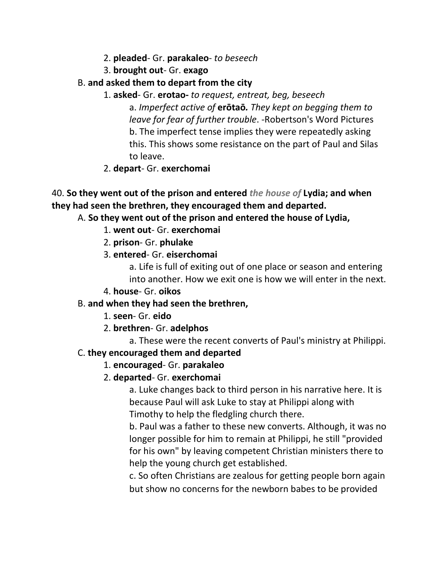- 2. **pleaded** Gr. **parakaleo** *to beseech*
- 3. **brought out** Gr. **exago**
- B. **and asked them to depart from the city**
	- 1. **asked** Gr. **erotao-** *to request, entreat, beg, beseech* a. *Imperfect active of* **erōtaō***. They kept on begging them to leave for fear of further trouble*. -Robertson's Word Pictures b. The imperfect tense implies they were repeatedly asking this. This shows some resistance on the part of Paul and Silas to leave.
	- 2. **depart** Gr. **exerchomai**

```
40. So they went out of the prison and entered the house of Lydia; and when 
they had seen the brethren, they encouraged them and departed.
```
A. **So they went out of the prison and entered the house of Lydia,**

- 1. **went out** Gr. **exerchomai**
- 2. **prison** Gr. **phulake**
- 3. **entered** Gr. **eiserchomai**

a. Life is full of exiting out of one place or season and entering into another. How we exit one is how we will enter in the next.

- 4. **house** Gr. **oikos**
- B. **and when they had seen the brethren,**
	- 1. **seen** Gr. **eido**
	- 2. **brethren** Gr. **adelphos**

a. These were the recent converts of Paul's ministry at Philippi.

#### C. **they encouraged them and departed**

## 1. **encouraged**- Gr. **parakaleo**

2. **departed**- Gr. **exerchomai**

a. Luke changes back to third person in his narrative here. It is because Paul will ask Luke to stay at Philippi along with Timothy to help the fledgling church there.

b. Paul was a father to these new converts. Although, it was no longer possible for him to remain at Philippi, he still "provided for his own" by leaving competent Christian ministers there to help the young church get established.

c. So often Christians are zealous for getting people born again but show no concerns for the newborn babes to be provided